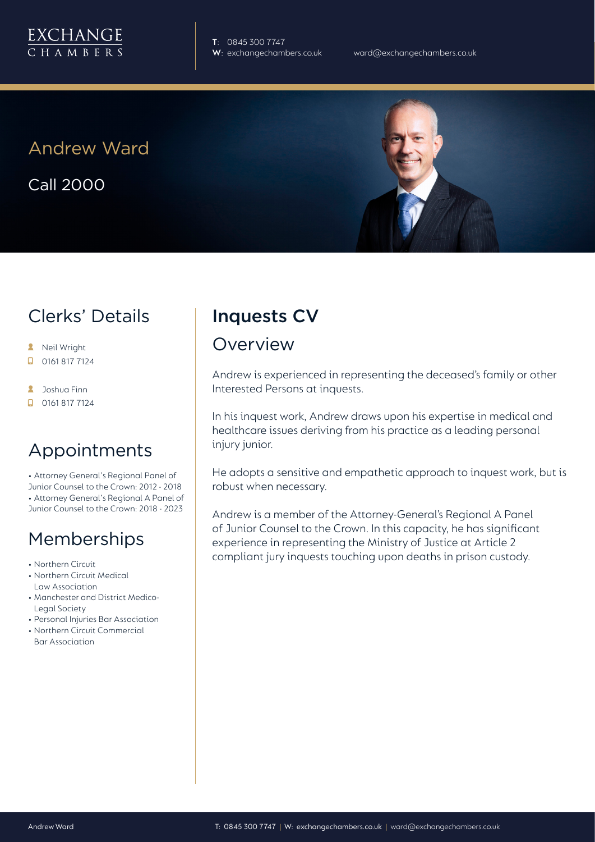**T**: 0845 300 7747

Andrew Ward

Call 2000

# Clerks' Details

- **A** Neil Wright
- 0161 817 7124  $\Box$
- **A** Joshua Finn
- $\Box$  0161 817 7124

## Appointments

• Attorney General's Regional Panel of Junior Counsel to the Crown: 2012 - 2018 • Attorney General's Regional A Panel of Junior Counsel to the Crown: 2018 - 2023

# Memberships

- Northern Circuit
- Northern Circuit Medical Law Association
- Manchester and District Medico-Legal Society
- Personal Injuries Bar Association
- Northern Circuit Commercial Bar Association

# Inquests CV

#### Overview

Andrew is experienced in representing the deceased's family or other Interested Persons at inquests.

In his inquest work, Andrew draws upon his expertise in medical and healthcare issues deriving from his practice as a leading personal injury junior.

He adopts a sensitive and empathetic approach to inquest work, but is robust when necessary.

Andrew is a member of the Attorney-General's Regional A Panel of Junior Counsel to the Crown. In this capacity, he has significant experience in representing the Ministry of Justice at Article 2 compliant jury inquests touching upon deaths in prison custody.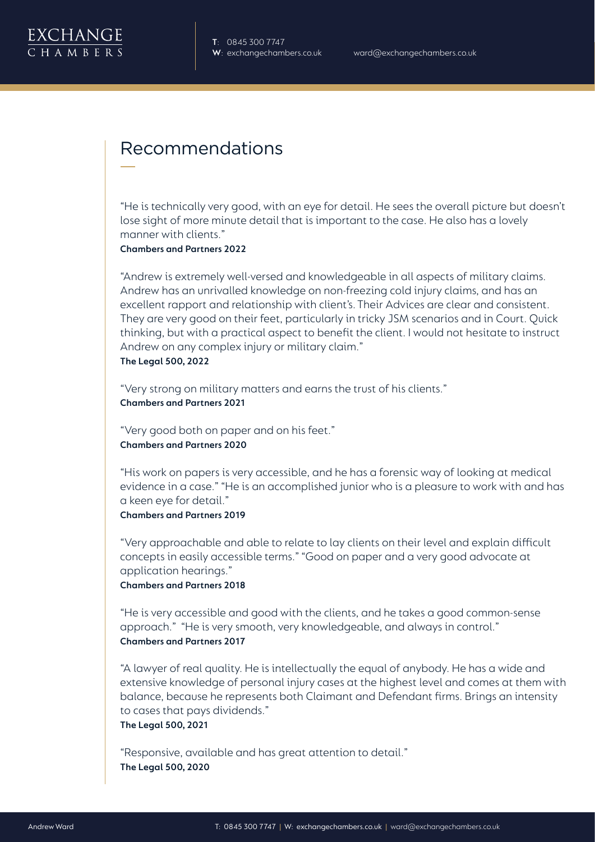

## Recommendations

"He is technically very good, with an eye for detail. He sees the overall picture but doesn't lose sight of more minute detail that is important to the case. He also has a lovely manner with clients."

**Chambers and Partners 2022**

"Andrew is extremely well-versed and knowledgeable in all aspects of military claims. Andrew has an unrivalled knowledge on non-freezing cold injury claims, and has an excellent rapport and relationship with client's. Their Advices are clear and consistent. They are very good on their feet, particularly in tricky JSM scenarios and in Court. Quick thinking, but with a practical aspect to benefit the client. I would not hesitate to instruct Andrew on any complex injury or military claim."

**The Legal 500, 2022**

"Very strong on military matters and earns the trust of his clients." **Chambers and Partners 2021**

"Very good both on paper and on his feet." **Chambers and Partners 2020**

"His work on papers is very accessible, and he has a forensic way of looking at medical evidence in a case." "He is an accomplished junior who is a pleasure to work with and has a keen eye for detail."

#### **Chambers and Partners 2019**

"Very approachable and able to relate to lay clients on their level and explain difficult concepts in easily accessible terms." "Good on paper and a very good advocate at application hearings."

**Chambers and Partners 2018**

"He is very accessible and good with the clients, and he takes a good common-sense approach." "He is very smooth, very knowledgeable, and always in control." **Chambers and Partners 2017**

"A lawyer of real quality. He is intellectually the equal of anybody. He has a wide and extensive knowledge of personal injury cases at the highest level and comes at them with balance, because he represents both Claimant and Defendant firms. Brings an intensity to cases that pays dividends."

**The Legal 500, 2021**

"Responsive, available and has great attention to detail." **The Legal 500, 2020**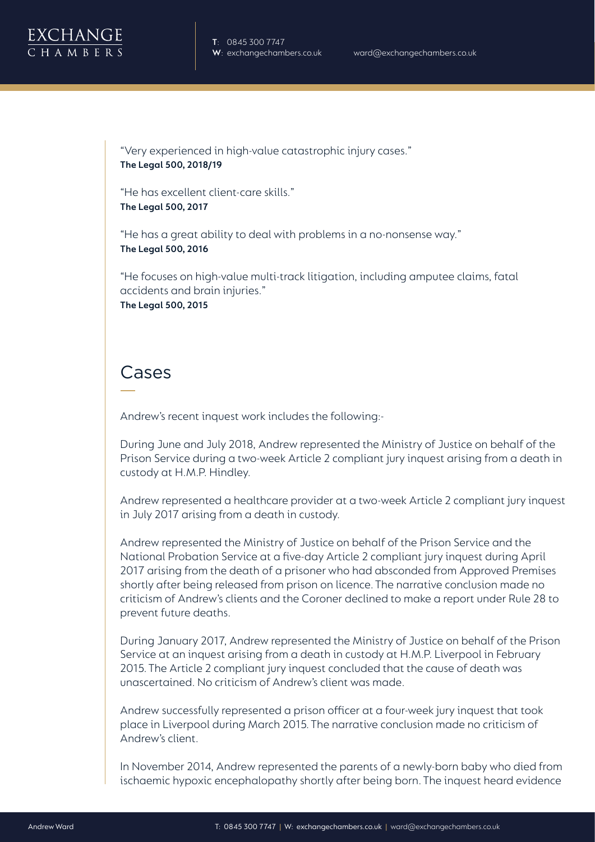

"Very experienced in high-value catastrophic injury cases." **The Legal 500, 2018/19**

"He has excellent client-care skills." **The Legal 500, 2017**

"He has a great ability to deal with problems in a no-nonsense way." **The Legal 500, 2016**

"He focuses on high-value multi-track litigation, including amputee claims, fatal accidents and brain injuries." **The Legal 500, 2015**

# Cases

Andrew's recent inquest work includes the following:-

During June and July 2018, Andrew represented the Ministry of Justice on behalf of the Prison Service during a two-week Article 2 compliant jury inquest arising from a death in custody at H.M.P. Hindley.

Andrew represented a healthcare provider at a two-week Article 2 compliant jury inquest in July 2017 arising from a death in custody.

Andrew represented the Ministry of Justice on behalf of the Prison Service and the National Probation Service at a five-day Article 2 compliant jury inquest during April 2017 arising from the death of a prisoner who had absconded from Approved Premises shortly after being released from prison on licence. The narrative conclusion made no criticism of Andrew's clients and the Coroner declined to make a report under Rule 28 to prevent future deaths.

During January 2017, Andrew represented the Ministry of Justice on behalf of the Prison Service at an inquest arising from a death in custody at H.M.P. Liverpool in February 2015. The Article 2 compliant jury inquest concluded that the cause of death was unascertained. No criticism of Andrew's client was made.

Andrew successfully represented a prison officer at a four-week jury inquest that took place in Liverpool during March 2015. The narrative conclusion made no criticism of Andrew's client.

In November 2014, Andrew represented the parents of a newly-born baby who died from ischaemic hypoxic encephalopathy shortly after being born. The inquest heard evidence